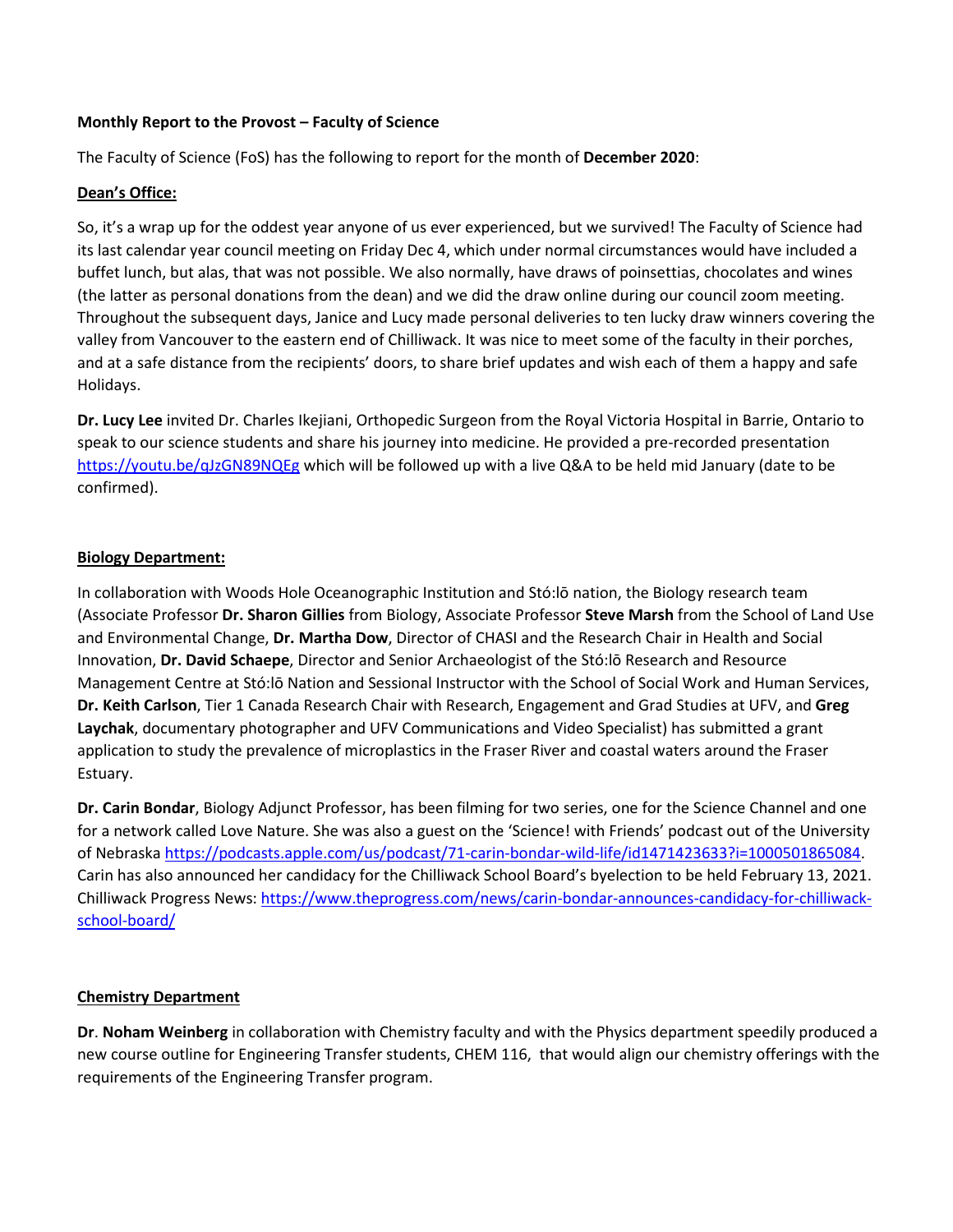#### **Monthly Report to the Provost – Faculty of Science**

The Faculty of Science (FoS) has the following to report for the month of **December 2020**:

# **Dean's Office:**

So, it's a wrap up for the oddest year anyone of us ever experienced, but we survived! The Faculty of Science had its last calendar year council meeting on Friday Dec 4, which under normal circumstances would have included a buffet lunch, but alas, that was not possible. We also normally, have draws of poinsettias, chocolates and wines (the latter as personal donations from the dean) and we did the draw online during our council zoom meeting. Throughout the subsequent days, Janice and Lucy made personal deliveries to ten lucky draw winners covering the valley from Vancouver to the eastern end of Chilliwack. It was nice to meet some of the faculty in their porches, and at a safe distance from the recipients' doors, to share brief updates and wish each of them a happy and safe Holidays.

**Dr. Lucy Lee** invited Dr. Charles Ikejiani, Orthopedic Surgeon from the Royal Victoria Hospital in Barrie, Ontario to speak to our science students and share his journey into medicine. He provided a pre-recorded presentation <https://youtu.be/qJzGN89NQEg> which will be followed up with a live Q&A to be held mid January (date to be confirmed).

#### **Biology Department:**

In collaboration with Woods Hole Oceanographic Institution and Stó:lō nation, the Biology research team (Associate Professor **Dr. Sharon Gillies** from Biology, Associate Professor **Steve Marsh** from the School of Land Use and Environmental Change, **Dr. Martha Dow**, Director of CHASI and the Research Chair in Health and Social Innovation, **Dr. David Schaepe**, Director and Senior Archaeologist of the Stó:lō Research and Resource Management Centre at Stó:lō Nation and Sessional Instructor with the School of Social Work and Human Services, **Dr. Keith Carlson**, Tier 1 Canada Research Chair with Research, Engagement and Grad Studies at UFV, and **Greg Laychak**, documentary photographer and UFV Communications and Video Specialist) has submitted a grant application to study the prevalence of microplastics in the Fraser River and coastal waters around the Fraser Estuary.

**Dr. Carin Bondar**, Biology Adjunct Professor, has been filming for two series, one for the Science Channel and one for a network called Love Nature. She was also a guest on the 'Science! with Friends' podcast out of the University of Nebraska [https://podcasts.apple.com/us/podcast/71-carin-bondar-wild-life/id1471423633?i=1000501865084.](https://podcasts.apple.com/us/podcast/71-carin-bondar-wild-life/id1471423633?i=1000501865084) Carin has also announced her candidacy for the Chilliwack School Board's byelection to be held February 13, 2021. Chilliwack Progress News[: https://www.theprogress.com/news/carin-bondar-announces-candidacy-for-chilliwack](https://www.theprogress.com/news/carin-bondar-announces-candidacy-for-chilliwack-school-board/)[school-board/](https://www.theprogress.com/news/carin-bondar-announces-candidacy-for-chilliwack-school-board/)

# **Chemistry Department**

**Dr**. **Noham Weinberg** in collaboration with Chemistry faculty and with the Physics department speedily produced a new course outline for Engineering Transfer students, CHEM 116, that would align our chemistry offerings with the requirements of the Engineering Transfer program.